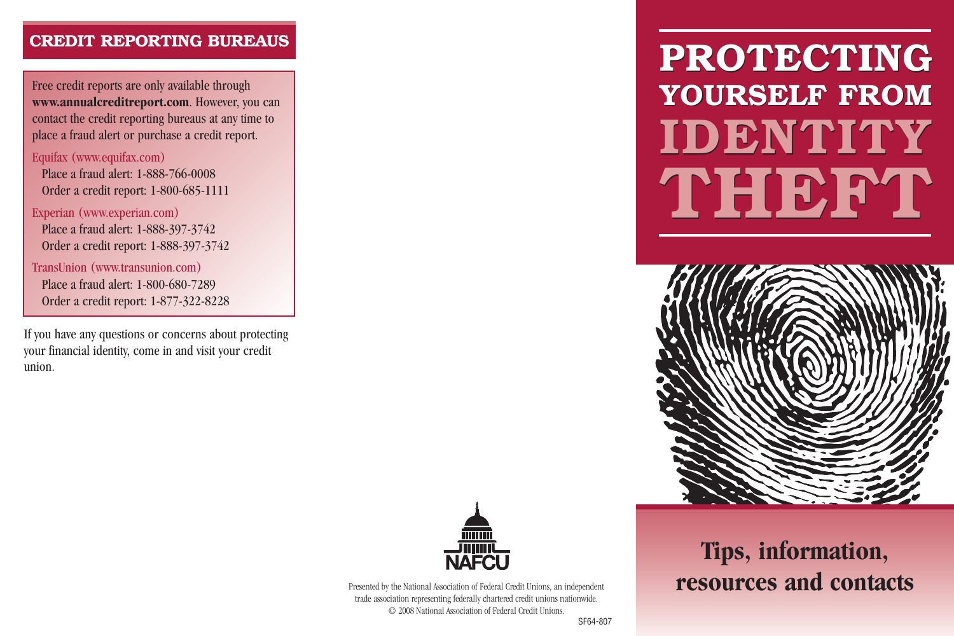## **CREDIT REPORTING BUREAUS**

Free credit reports are only available through **www.annualcreditreport.com**. However, you can contact the credit reporting bureaus at any time to place a fraud alert or purchase a credit report.

#### Equifax (www.equifax.com)

Place a fraud alert: 1-888-766-0008 Order a credit report: 1-800-685-1111

#### Experian (www.experian.com)

Place a fraud alert: 1-888-397-3742 Order a credit report: 1-888-397-3742

TransUnion (www.transunion.com) Place a fraud alert: 1-800-680-7289 Order a credit report: 1-877-322-8228

If you have any questions or concerns about protecting your financial identity, come in and visit your credit union.

# **PROTECTING PROTECTING YOURSELF FROM YOURSELF FROM IDENTITY IDENTITY THEFT THEFT**





Presented by the National Association of Federal Credit Unions, an independent trade association representing federally chartered credit unions nationwide. © 2008 National Association of Federal Credit Unions.

# **Tips, information, resources and contacts**